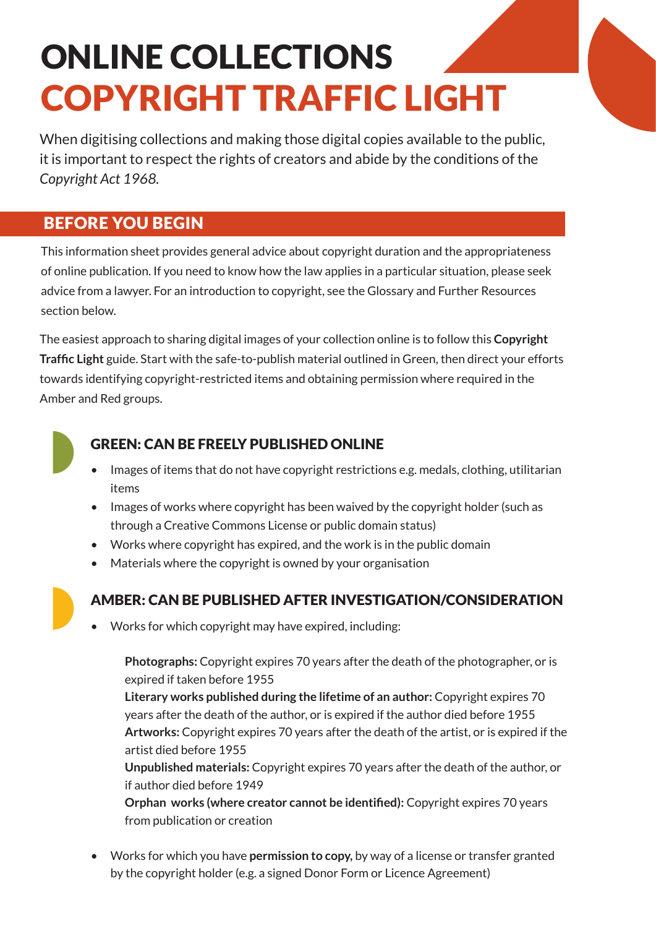# ONLINE COLLECTIONS COPYRIGHT TRAFFIC LIGHT

When digitising collections and making those digital copies available to the public, it is important to respect the rights of creators and abide by the conditions of the *Copyright Act 1968.* 

### BEFORE YOU BEGIN

This information sheet provides general advice about copyright duration and the appropriateness of online publication. If you need to know how the law applies in a particular situation, please seek advice from a lawyer. For an introduction to copyright, see the Glossary and Further Resources section below.

The easiest approach to sharing digital images of your collection online is to follow this **Copyright Traffic Light** guide. Start with the safe-to-publish material outlined in Green, then direct your efforts towards identifying copyright-restricted items and obtaining permission where required in the Amber and Red groups.



### GREEN: CAN BE FREELY PUBLISHED ONLINE

- Images of items that do not have copyright restrictions e.g. medals, clothing, utilitarian items
- Images of works where copyright has been waived by the copyright holder (such as through a Creative Commons License or public domain status)
- Works where copyright has expired, and the work is in the public domain
- Materials where the copyright is owned by your organisation
- 

### AMBER: CAN BE PUBLISHED AFTER INVESTIGATION/CONSIDERATION

• Works for which copyright may have expired, including:

**Photographs:** Copyright expires 70 years after the death of the photographer, or is expired if taken before 1955

**Literary works published during the lifetime of an author:** Copyright expires 70 years after the death of the author, or is expired if the author died before 1955 **Artworks:** Copyright expires 70 years after the death of the artist, or is expired if the artist died before 1955

**Unpublished materials:** Copyright expires 70 years after the death of the author, or if author died before 1949

**Orphan works (where creator cannot be identified):** Copyright expires 70 years from publication or creation

• Works for which you have **permission to copy,** by way of a license or transfer granted by the copyright holder (e.g. a signed Donor Form or Licence Agreement)